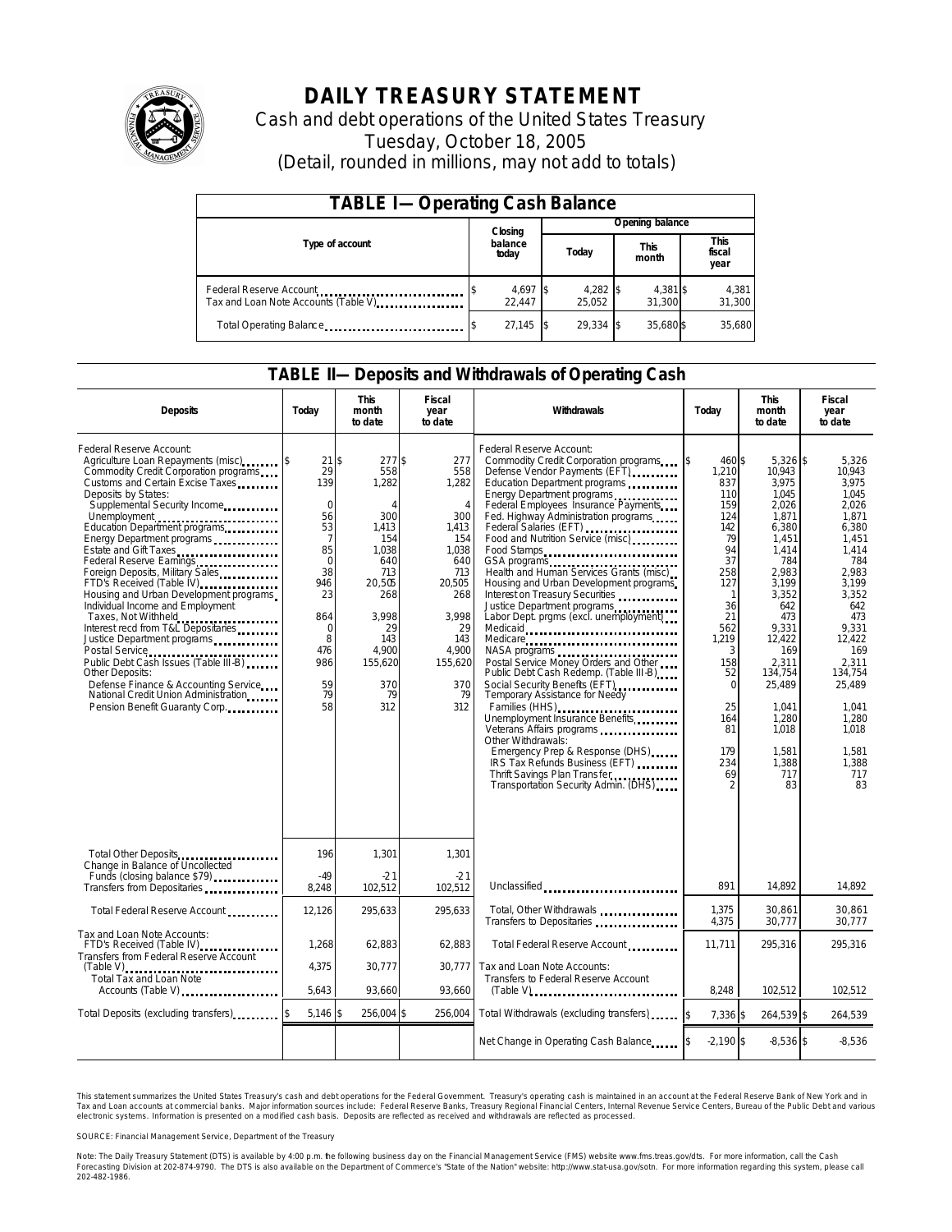

# **DAILY TREASURY STATEMENT**

Cash and debt operations of the United States Treasury Tuesday, October 18, 2005 (Detail, rounded in millions, may not add to totals)

| <b>TABLE I-Operating Cash Balance</b>                            |                  |                    |  |                      |  |                      |  |                        |
|------------------------------------------------------------------|------------------|--------------------|--|----------------------|--|----------------------|--|------------------------|
|                                                                  |                  | Closing            |  | Opening balance      |  |                      |  |                        |
| Type of account                                                  | balance<br>today |                    |  | Today                |  | <b>This</b><br>month |  | This<br>fiscal<br>year |
| Federal Reserve Account<br>Tax and Loan Note Accounts (Table V). |                  | 4,697 \$<br>22.447 |  | $4,282$ \$<br>25.052 |  | 4,381 \$<br>31.300   |  | 4,381<br>31,300        |
| Total Operating Balance                                          |                  | $27.145$ \\$       |  | 29.334 \$            |  | 35.680\$             |  | 35.680                 |

#### **TABLE II—Deposits and Withdrawals of Operating Cash**

| <b>Deposits</b>                                                                                                                                                                                                                                                                                                                                                                                                                                                                                                                                                                                                                                                                                                | Today                                                                                                                                                            | <b>This</b><br>month<br>to date                                                                                                                                     | Fiscal<br>year<br>to date                                                                                                                                          | Withdrawals                                                                                                                                                                                                                                                                                                                                                                                                                                                                                                                                                                                                                                                                                                                                                                                                                                                                                                                                             | Today                                                                                                                                                                                                      | <b>This</b><br>month<br>to date                                                                                                                                                                                                                       | Fiscal<br>year<br>to date                                                                                                                                                                                                                        |
|----------------------------------------------------------------------------------------------------------------------------------------------------------------------------------------------------------------------------------------------------------------------------------------------------------------------------------------------------------------------------------------------------------------------------------------------------------------------------------------------------------------------------------------------------------------------------------------------------------------------------------------------------------------------------------------------------------------|------------------------------------------------------------------------------------------------------------------------------------------------------------------|---------------------------------------------------------------------------------------------------------------------------------------------------------------------|--------------------------------------------------------------------------------------------------------------------------------------------------------------------|---------------------------------------------------------------------------------------------------------------------------------------------------------------------------------------------------------------------------------------------------------------------------------------------------------------------------------------------------------------------------------------------------------------------------------------------------------------------------------------------------------------------------------------------------------------------------------------------------------------------------------------------------------------------------------------------------------------------------------------------------------------------------------------------------------------------------------------------------------------------------------------------------------------------------------------------------------|------------------------------------------------------------------------------------------------------------------------------------------------------------------------------------------------------------|-------------------------------------------------------------------------------------------------------------------------------------------------------------------------------------------------------------------------------------------------------|--------------------------------------------------------------------------------------------------------------------------------------------------------------------------------------------------------------------------------------------------|
| Federal Reserve Account:<br>Agriculture Loan Repayments (misc)<br>Commodity Credit Corporation programs<br>Customs and Certain Excise Taxes<br>Deposits by States:<br>Supplemental Security Income<br>Energy Department programs<br>Estate and Gift Taxes<br>Federal Reserve Earnings<br>Foreign Deposits, Military Sales<br>FTD's Received (Table IV)<br>Housing and Urban Development programs<br>Individual Income and Employment<br>Taxes, Not Withheld<br>Interest recd from T&L Depositaries<br>Justice Department programs<br>Public Debt Cash Issues (Table III-B)<br>Other Deposits:<br>Defense Finance & Accounting Service<br>National Credit Union Administration<br>Pension Benefit Guaranty Corp | 21S<br>29<br>139<br>$\mathbf 0$<br>56<br>53<br>$\overline{7}$<br>85<br>$\overline{0}$<br>38<br>946<br>23<br>864<br>$\Omega$<br>8<br>476<br>986<br>59<br>79<br>58 | 277S<br>558<br>1,282<br>$\overline{A}$<br>300<br>1,413<br>154<br>1.038<br>640<br>713<br>20,505<br>268<br>3.998<br>29<br>143<br>4.900<br>155,620<br>370<br>79<br>312 | 277<br>558<br>1,282<br>$\overline{4}$<br>300<br>1,413<br>154<br>1,038<br>640<br>713<br>20,505<br>268<br>3.998<br>29<br>143<br>4.900<br>155,620<br>370<br>79<br>312 | Federal Reserve Account:<br>Commodity Credit Corporation programs<br>Defense Vendor Payments (EFT)<br>Education Department programs<br>Energy Department programs<br>Federal Employees Insurance Payments<br>Fed. Highway Administration programs<br>Federal Salaries (EFT)<br>Food and Nutrition Service (misc)<br>Food Stamps<br>GSA programs<br>Health and Human Services Grants (misc)<br>Housing and Urban Development programs<br>Interest on Treasury Securities<br>Justice Department programs<br>Labor Dept. prgms (excl. unemployment)<br>Medicaid<br>Medicare<br>Postal Service Money Orders and Other<br>Public Debt Cash Redemp. (Table III-B)<br>Social Security Benefits (EFT)<br>Temporary Assistance for Needy<br>Families (HHS)<br>Unemployment Insurance Benefits<br>Other Withdrawals:<br>Emergency Prep & Response (DHS)<br>IRS Tax Refunds Business (EFT)<br>Thrift Savings Plan Transfer<br>Transportation Security Admin. (DHS) | <sup>\$</sup><br>460 \$<br>1,210<br>837<br>110<br>159<br>124<br>142<br>79<br>94<br>37<br>258<br>127<br>-1<br>36<br>21<br>562<br>1,219<br>3<br>158<br>52<br>$\Omega$<br>25<br>164<br>81<br>179<br>234<br>69 | $5,326$ \$<br>10.943<br>3.975<br>1.045<br>2,026<br>1,871<br>6,380<br>1,451<br>1.414<br>784<br>2.983<br>3,199<br>3,352<br>642<br>473<br>9.331<br>12,422<br>169<br>2,311<br>134,754<br>25,489<br>1.041<br>1,280<br>1.018<br>1.581<br>1,388<br>717<br>83 | 5,326<br>10.943<br>3.975<br>1.045<br>2,026<br>1.871<br>6,380<br>1,451<br>1.414<br>784<br>2.983<br>3.199<br>3.352<br>642<br>473<br>9.331<br>12,422<br>169<br>2.311<br>134.754<br>25,489<br>1.041<br>1,280<br>1.018<br>1.581<br>1,388<br>717<br>83 |
| Total Other Deposits<br>Change in Balance of Uncollected                                                                                                                                                                                                                                                                                                                                                                                                                                                                                                                                                                                                                                                       | 196<br>$-49$                                                                                                                                                     | 1,301<br>-21                                                                                                                                                        | 1,301<br>$-21$                                                                                                                                                     |                                                                                                                                                                                                                                                                                                                                                                                                                                                                                                                                                                                                                                                                                                                                                                                                                                                                                                                                                         |                                                                                                                                                                                                            |                                                                                                                                                                                                                                                       |                                                                                                                                                                                                                                                  |
| Funds (closing balance \$79)                                                                                                                                                                                                                                                                                                                                                                                                                                                                                                                                                                                                                                                                                   | 8,248                                                                                                                                                            | 102,512                                                                                                                                                             | 102,512                                                                                                                                                            | Unclassified                                                                                                                                                                                                                                                                                                                                                                                                                                                                                                                                                                                                                                                                                                                                                                                                                                                                                                                                            | 891                                                                                                                                                                                                        | 14.892                                                                                                                                                                                                                                                | 14.892                                                                                                                                                                                                                                           |
| Total Federal Reserve Account                                                                                                                                                                                                                                                                                                                                                                                                                                                                                                                                                                                                                                                                                  | 12,126                                                                                                                                                           | 295,633                                                                                                                                                             | 295.633                                                                                                                                                            | Total, Other Withdrawals<br>Transfers to Depositaries                                                                                                                                                                                                                                                                                                                                                                                                                                                                                                                                                                                                                                                                                                                                                                                                                                                                                                   | 1,375<br>4,375                                                                                                                                                                                             | 30,861<br>30,777                                                                                                                                                                                                                                      | 30,861<br>30.777                                                                                                                                                                                                                                 |
| Tax and Loan Note Accounts:<br>FTD's Received (Table IV)<br>Transfers from Federal Reserve Account                                                                                                                                                                                                                                                                                                                                                                                                                                                                                                                                                                                                             | 1,268                                                                                                                                                            | 62.883                                                                                                                                                              | 62.883                                                                                                                                                             | Total Federal Reserve Account                                                                                                                                                                                                                                                                                                                                                                                                                                                                                                                                                                                                                                                                                                                                                                                                                                                                                                                           | 11.711                                                                                                                                                                                                     | 295.316                                                                                                                                                                                                                                               | 295.316                                                                                                                                                                                                                                          |
| $(Table V)$<br><br>Total Tax and Loan Note<br>Accounts (Table V)                                                                                                                                                                                                                                                                                                                                                                                                                                                                                                                                                                                                                                               | 4,375<br>5,643                                                                                                                                                   | 30,777<br>93,660                                                                                                                                                    | 30,777<br>93,660                                                                                                                                                   | Tax and Loan Note Accounts:<br>Transfers to Federal Reserve Account<br>$(Table V)$                                                                                                                                                                                                                                                                                                                                                                                                                                                                                                                                                                                                                                                                                                                                                                                                                                                                      | 8,248                                                                                                                                                                                                      | 102,512                                                                                                                                                                                                                                               | 102,512                                                                                                                                                                                                                                          |
| Total Deposits (excluding transfers)                                                                                                                                                                                                                                                                                                                                                                                                                                                                                                                                                                                                                                                                           | $5,146$ \$                                                                                                                                                       | 256,004 \$                                                                                                                                                          | 256,004                                                                                                                                                            | Total Withdrawals (excluding transfers)                                                                                                                                                                                                                                                                                                                                                                                                                                                                                                                                                                                                                                                                                                                                                                                                                                                                                                                 | 7,336 \$                                                                                                                                                                                                   | 264,539 \$                                                                                                                                                                                                                                            | 264,539                                                                                                                                                                                                                                          |
|                                                                                                                                                                                                                                                                                                                                                                                                                                                                                                                                                                                                                                                                                                                |                                                                                                                                                                  |                                                                                                                                                                     |                                                                                                                                                                    | Net Change in Operating Cash Balance                                                                                                                                                                                                                                                                                                                                                                                                                                                                                                                                                                                                                                                                                                                                                                                                                                                                                                                    | $-2,190$ \$                                                                                                                                                                                                | $-8,536$ \$                                                                                                                                                                                                                                           | $-8,536$                                                                                                                                                                                                                                         |

This statement summarizes the United States Treasury's cash and debt operations for the Federal Government. Treasury's operating cash is maintained in an account at the Federal Reserve Bank of New York and in Tax and Loan accounts at commercial banks. Major information sources include: Federal Reserve Banks, Treasury Regional Financial Centers, Internal Revenue Service Centers, Bureau of the Public Debt and various<br>electronic s

SOURCE: Financial Management Service, Department of the Treasury

Note: The Daily Treasury Statement (DTS) is available by 4:00 p.m. he following business day on the Financial Management Service (FMS) website www.fms.treas.gov/dts.<br>Forecasting Division at 202-874-9790. The DTS is also av 'S) is available by 4:00 p.m. he following business day on the Financial Management Service (FMS) website www.fms.treas.gov/dts. For more information, call the Cash<br>The DTS is also available on the Department of Commerce's